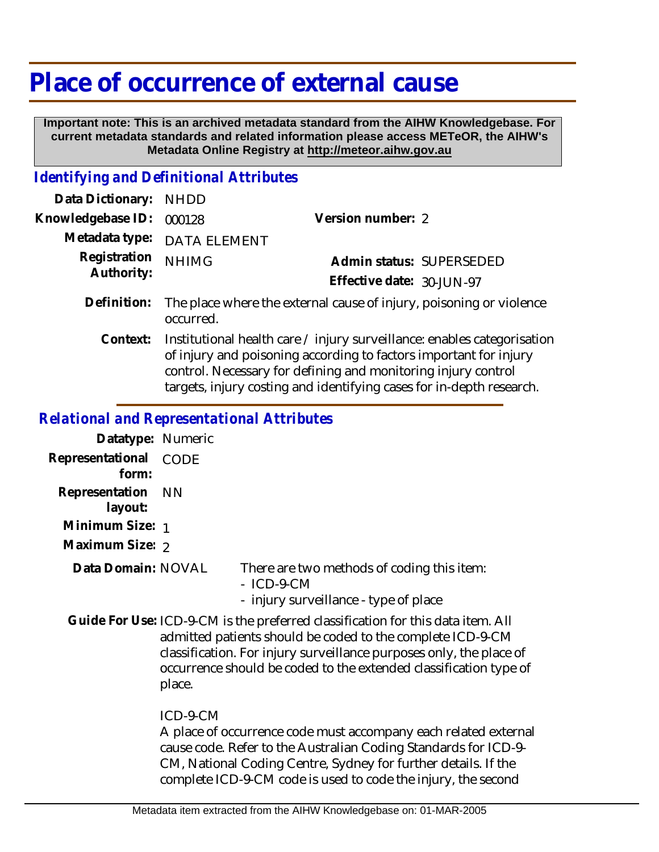# **Place of occurrence of external cause**

 **Important note: This is an archived metadata standard from the AIHW Knowledgebase. For current metadata standards and related information please access METeOR, the AIHW's Metadata Online Registry at http://meteor.aihw.gov.au**

#### *Identifying and Definitional Attributes*

| Data Dictionary:           | <b>NHDD</b>                                                                                                                                                                                                                                                                           |                                                                     |
|----------------------------|---------------------------------------------------------------------------------------------------------------------------------------------------------------------------------------------------------------------------------------------------------------------------------------|---------------------------------------------------------------------|
| Knowledgebase ID:          | 000128                                                                                                                                                                                                                                                                                | Version number: 2                                                   |
| Metadata type:             | <b>DATA ELEMENT</b>                                                                                                                                                                                                                                                                   |                                                                     |
| Registration<br>Authority: | <b>NHIMG</b>                                                                                                                                                                                                                                                                          | Admin status: SUPERSEDED                                            |
|                            |                                                                                                                                                                                                                                                                                       | Effective date: 30-JUN-97                                           |
| Definition:                | occurred.                                                                                                                                                                                                                                                                             | The place where the external cause of injury, poisoning or violence |
| Context:                   | Institutional health care / injury surveillance: enables categorisation<br>of injury and poisoning according to factors important for injury<br>control. Necessary for defining and monitoring injury control<br>targets, injury costing and identifying cases for in-depth research. |                                                                     |

## *Relational and Representational Attributes*

| Datatype: Numeric         |                                                                                                                                                                                                                                                                                                     |                                                                                                     |
|---------------------------|-----------------------------------------------------------------------------------------------------------------------------------------------------------------------------------------------------------------------------------------------------------------------------------------------------|-----------------------------------------------------------------------------------------------------|
| Representational<br>form: | <b>CODE</b>                                                                                                                                                                                                                                                                                         |                                                                                                     |
| Representation<br>layout: | - NN                                                                                                                                                                                                                                                                                                |                                                                                                     |
| Minimum Size: 1           |                                                                                                                                                                                                                                                                                                     |                                                                                                     |
| Maximum Size: 2           |                                                                                                                                                                                                                                                                                                     |                                                                                                     |
| Data Domain: NOVAL        |                                                                                                                                                                                                                                                                                                     | There are two methods of coding this item:<br>$-$ ICD-9-CM<br>- injury surveillance - type of place |
|                           | Guide For Use: ICD-9-CM is the preferred classification for this data item. All<br>admitted patients should be coded to the complete ICD-9-CM<br>classification. For injury surveillance purposes only, the place of<br>occurrence should be coded to the extended classification type of<br>place. |                                                                                                     |
|                           | ICD-9-CM                                                                                                                                                                                                                                                                                            |                                                                                                     |

A place of occurrence code must accompany each related external cause code. Refer to the Australian Coding Standards for ICD-9- CM, National Coding Centre, Sydney for further details. If the complete ICD-9-CM code is used to code the injury, the second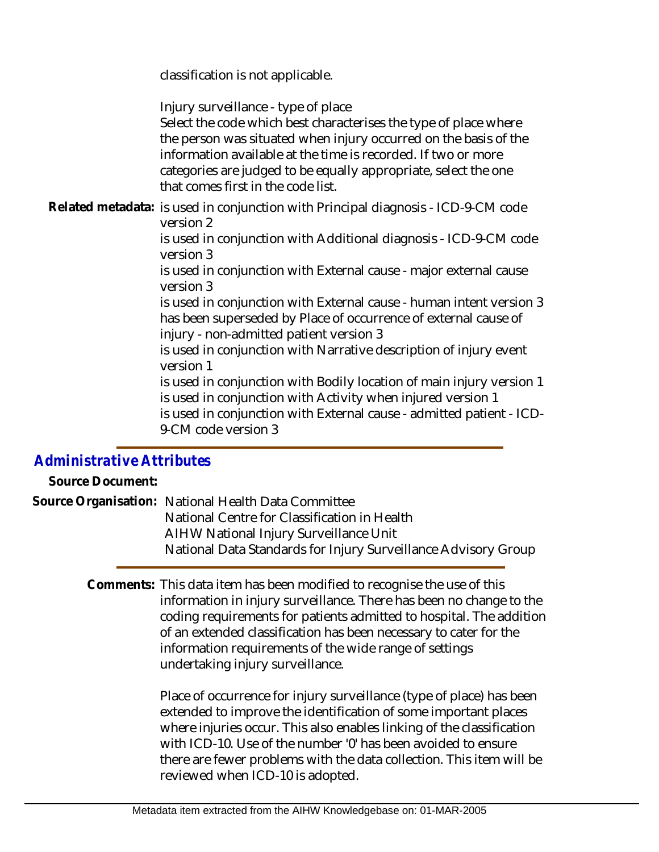classification is not applicable.

Injury surveillance - type of place

Select the code which best characterises the type of place where the person was situated when injury occurred on the basis of the information available at the time is recorded. If two or more categories are judged to be equally appropriate, select the one that comes first in the code list.

Related metadata: is used in conjunction with Principal diagnosis - ICD-9-CM code version 2

> is used in conjunction with Additional diagnosis - ICD-9-CM code version 3

is used in conjunction with External cause - major external cause version 3

is used in conjunction with External cause - human intent version 3 has been superseded by Place of occurrence of external cause of injury - non-admitted patient version 3

is used in conjunction with Narrative description of injury event version 1

is used in conjunction with Bodily location of main injury version 1 is used in conjunction with Activity when injured version 1 is used in conjunction with External cause - admitted patient - ICD-

9-CM code version 3

### *Administrative Attributes*

**Source Document:**

| Source Organisation: National Health Data Committee            |
|----------------------------------------------------------------|
| National Centre for Classification in Health                   |
| AIHW National Injury Surveillance Unit                         |
| National Data Standards for Injury Surveillance Advisory Group |
|                                                                |

Comments: This data item has been modified to recognise the use of this information in injury surveillance. There has been no change to the coding requirements for patients admitted to hospital. The addition of an extended classification has been necessary to cater for the information requirements of the wide range of settings undertaking injury surveillance.

> Place of occurrence for injury surveillance (type of place) has been extended to improve the identification of some important places where injuries occur. This also enables linking of the classification with ICD-10. Use of the number '0' has been avoided to ensure there are fewer problems with the data collection. This item will be reviewed when ICD-10 is adopted.